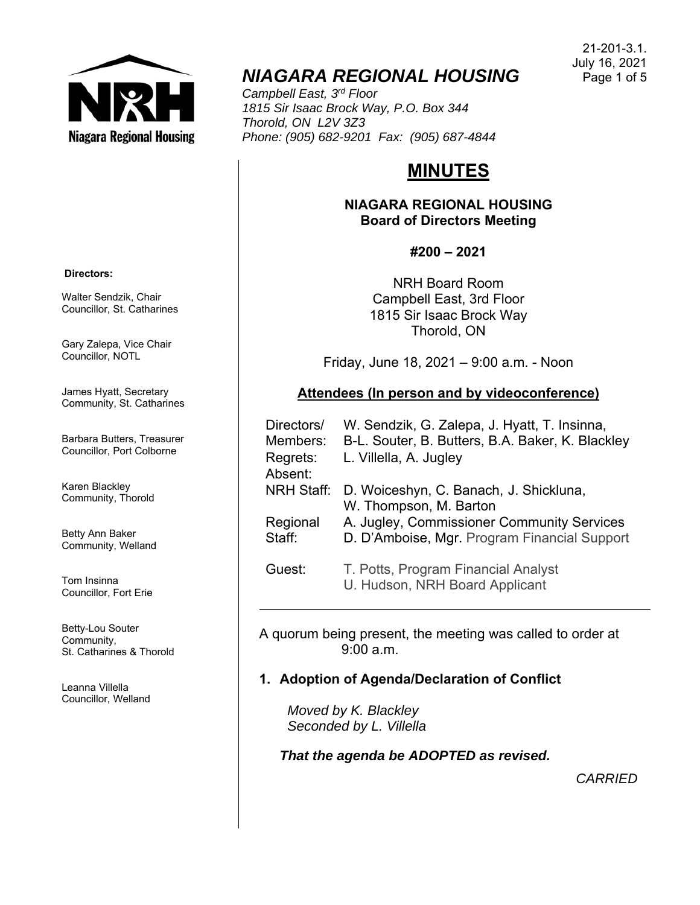

# *NIAGARA REGIONAL HOUSING*

*Campbell East, 3rd Floor 1815 Sir Isaac Brock Way, P.O. Box 344 Thorold, ON L2V 3Z3 Phone: (905) 682-9201 Fax: (905) 687-4844* 

# **MINUTES**

### **NIAGARA REGIONAL HOUSING Board of Directors Meeting**

# **#200 – 2021**

NRH Board Room Campbell East, 3rd Floor 1815 Sir Isaac Brock Way Thorold, ON

Friday, June 18, 2021 – 9:00 a.m. - Noon

# **Attendees (In person and by videoconference)**

| Directors/<br>Members: | W. Sendzik, G. Zalepa, J. Hyatt, T. Insinna,<br>B-L. Souter, B. Butters, B.A. Baker, K. Blackley |
|------------------------|--------------------------------------------------------------------------------------------------|
| Regrets:<br>Absent:    | L. Villella, A. Jugley                                                                           |
| <b>NRH Staff:</b>      | D. Woiceshyn, C. Banach, J. Shickluna,<br>W. Thompson, M. Barton                                 |
| Regional<br>Staff:     | A. Jugley, Commissioner Community Services<br>D. D'Amboise, Mgr. Program Financial Support       |
| Guest:                 | T. Potts, Program Financial Analyst                                                              |

A quorum being present, the meeting was called to order at 9:00 a.m.

U. Hudson, NRH Board Applicant

# **1. Adoption of Agenda/Declaration of Conflict**

 *Moved by K. Blackley Seconded by L. Villella* 

*That the agenda be ADOPTED as revised.* 

*CARRIED*

#### **Directors:**

Walter Sendzik, Chair Councillor, St. Catharines

Gary Zalepa, Vice Chair Councillor, NOTL

James Hyatt, Secretary Community, St. Catharines

Barbara Butters, Treasurer Councillor, Port Colborne

Karen Blackley Community, Thorold

Betty Ann Baker Community, Welland

Tom Insinna Councillor, Fort Erie

Betty-Lou Souter Community, St. Catharines & Thorold

Leanna Villella Councillor, Welland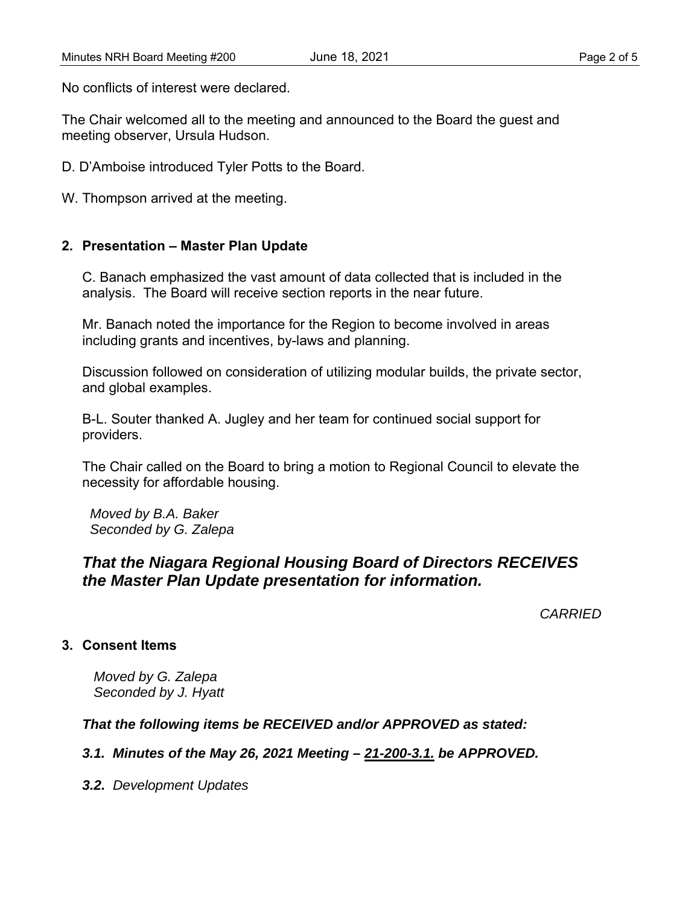No conflicts of interest were declared.

The Chair welcomed all to the meeting and announced to the Board the guest and meeting observer, Ursula Hudson.

D. D'Amboise introduced Tyler Potts to the Board.

W. Thompson arrived at the meeting.

### **2. Presentation – Master Plan Update**

 C. Banach emphasized the vast amount of data collected that is included in the analysis. The Board will receive section reports in the near future.

 Mr. Banach noted the importance for the Region to become involved in areas including grants and incentives, by-laws and planning.

 Discussion followed on consideration of utilizing modular builds, the private sector, and global examples.

 B-L. Souter thanked A. Jugley and her team for continued social support for providers.

 The Chair called on the Board to bring a motion to Regional Council to elevate the necessity for affordable housing.

 *Moved by B.A. Baker Seconded by G. Zalepa* 

# *That the Niagara Regional Housing Board of Directors RECEIVES the Master Plan Update presentation for information.*

*CARRIED*

### **3. Consent Items**

*Moved by G. Zalepa Seconded by J. Hyatt* 

### *That the following items be RECEIVED and/or APPROVED as stated:*

### *3.1. Minutes of the May 26, 2021 Meeting – 21-200-3.1. be APPROVED.*

*3.2. Development Updates*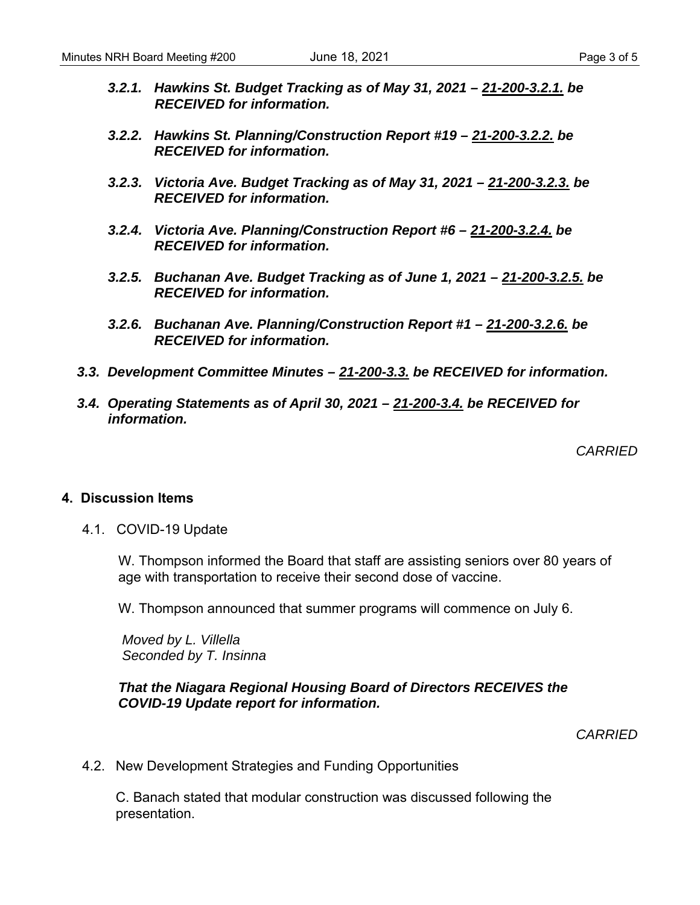- *3.2.1. Hawkins St. Budget Tracking as of May 31, 2021 21-200-3.2.1. be RECEIVED for information.*
- *3.2.2. Hawkins St. Planning/Construction Report #19 21-200-3.2.2. be RECEIVED for information.*
- *3.2.3. Victoria Ave. Budget Tracking as of May 31, 2021 21-200-3.2.3. be RECEIVED for information.*
- *3.2.4. Victoria Ave. Planning/Construction Report #6 21-200-3.2.4. be RECEIVED for information.*
- *3.2.5. Buchanan Ave. Budget Tracking as of June 1, 2021 21-200-3.2.5. be RECEIVED for information.*
- *3.2.6. Buchanan Ave. Planning/Construction Report #1 21-200-3.2.6. be RECEIVED for information.*
- *3.3. Development Committee Minutes 21-200-3.3. be RECEIVED for information.*
- *3.4. Operating Statements as of April 30, 2021 21-200-3.4. be RECEIVED for information.*

*CARRIED* 

#### **4. Discussion Items**

4.1. COVID-19 Update

W. Thompson informed the Board that staff are assisting seniors over 80 years of age with transportation to receive their second dose of vaccine.

W. Thompson announced that summer programs will commence on July 6.

 *Moved by L. Villella Seconded by T. Insinna* 

#### *That the Niagara Regional Housing Board of Directors RECEIVES the COVID-19 Update report for information.*

*CARRIED* 

4.2. New Development Strategies and Funding Opportunities

 C. Banach stated that modular construction was discussed following the presentation.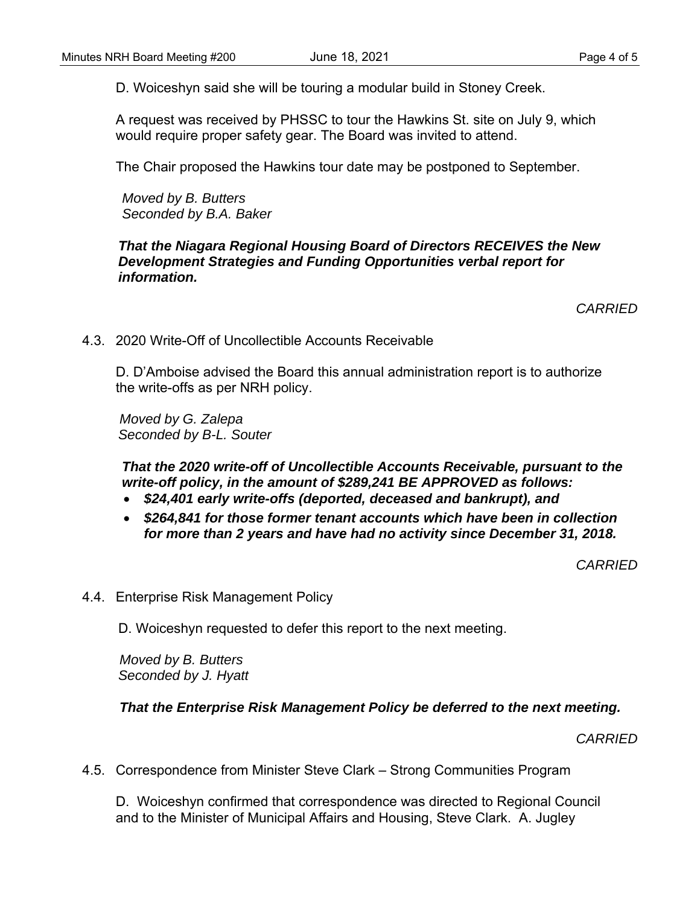D. Woiceshyn said she will be touring a modular build in Stoney Creek.

 A request was received by PHSSC to tour the Hawkins St. site on July 9, which would require proper safety gear. The Board was invited to attend.

The Chair proposed the Hawkins tour date may be postponed to September.

 *Moved by B. Butters Seconded by B.A. Baker* 

### *That the Niagara Regional Housing Board of Directors RECEIVES the New Development Strategies and Funding Opportunities verbal report for information.*

*CARRIED* 

4.3. 2020 Write-Off of Uncollectible Accounts Receivable

 D. D'Amboise advised the Board this annual administration report is to authorize the write-offs as per NRH policy.

 *Moved by G. Zalepa Seconded by B-L. Souter* 

 *That the 2020 write-off of Uncollectible Accounts Receivable, pursuant to the write-off policy, in the amount of \$289,241 BE APPROVED as follows:* 

- *\$24,401 early write-offs (deported, deceased and bankrupt), and*
- *\$264,841 for those former tenant accounts which have been in collection for more than 2 years and have had no activity since December 31, 2018.*

*CARRIED* 

4.4. Enterprise Risk Management Policy

D. Woiceshyn requested to defer this report to the next meeting.

 *Moved by B. Butters Seconded by J. Hyatt* 

### *That the Enterprise Risk Management Policy be deferred to the next meeting.*

*CARRIED* 

4.5. Correspondence from Minister Steve Clark – Strong Communities Program

 D. Woiceshyn confirmed that correspondence was directed to Regional Council and to the Minister of Municipal Affairs and Housing, Steve Clark. A. Jugley